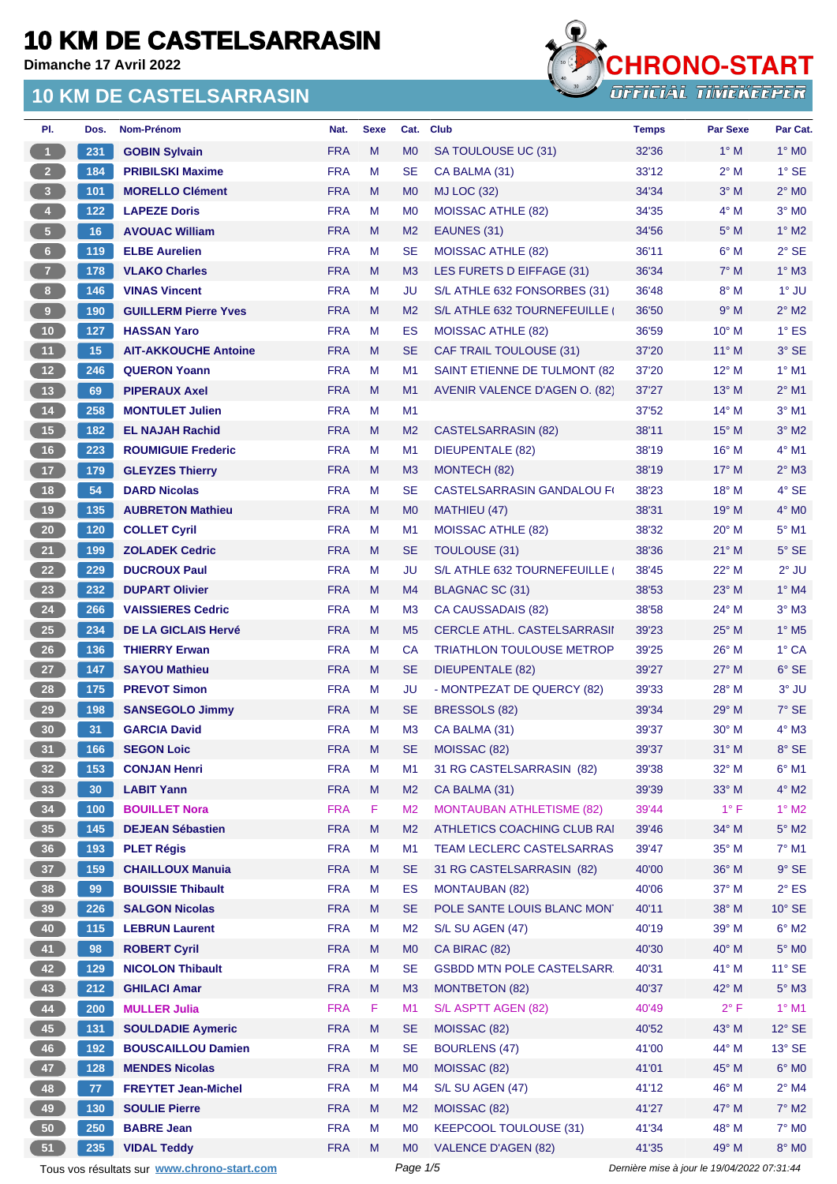**Dimanche 17 Avril 2022**

#### **10 KM DE CASTELSARRASIN**



| PI.                     | Dos. | Nom-Prénom                                  | Nat.       | <b>Sexe</b> | Cat.           | <b>Club</b>                                                 | <b>Temps</b>                                | <b>Par Sexe</b> | Par Cat.                          |
|-------------------------|------|---------------------------------------------|------------|-------------|----------------|-------------------------------------------------------------|---------------------------------------------|-----------------|-----------------------------------|
| $\overline{1}$          | 231  | <b>GOBIN Sylvain</b>                        | <b>FRA</b> | M           | M <sub>0</sub> | SA TOULOUSE UC (31)                                         | 32'36                                       | $1^\circ$ M     | $1^\circ$ MO                      |
| $2^{\circ}$             | 184  | <b>PRIBILSKI Maxime</b>                     | <b>FRA</b> | M           | <b>SE</b>      | CA BALMA (31)                                               | 33'12                                       | $2^{\circ}$ M   | $1^\circ$ SE                      |
| $\overline{\mathbf{3}}$ | 101  | <b>MORELLO Clément</b>                      | <b>FRA</b> | M           | M <sub>0</sub> | <b>MJ LOC (32)</b>                                          | 34'34                                       | $3^\circ$ M     | $2^{\circ}$ MO                    |
| $\overline{4}$          | 122  | <b>LAPEZE Doris</b>                         | <b>FRA</b> | м           | M <sub>0</sub> | <b>MOISSAC ATHLE (82)</b>                                   | 34'35                                       | $4^\circ$ M     | $3°$ MO                           |
| 5 <sup>7</sup>          | 16   | <b>AVOUAC William</b>                       | <b>FRA</b> | M           | M <sub>2</sub> | EAUNES (31)                                                 | 34'56                                       | $5^\circ$ M     | $1^\circ$ M2                      |
| $6 -$                   | 119  | <b>ELBE Aurelien</b>                        | <b>FRA</b> | M           | <b>SE</b>      | <b>MOISSAC ATHLE (82)</b>                                   | 36'11                                       | $6^\circ$ M     | $2°$ SE                           |
| $\overline{7}$          | 178  | <b>VLAKO Charles</b>                        | <b>FRA</b> | M           | M3             | LES FURETS D EIFFAGE (31)                                   | 36'34                                       | $7^\circ$ M     | $1^\circ$ M3                      |
| $\bf{8}$                | 146  | <b>VINAS Vincent</b>                        | <b>FRA</b> | M           | JU             | S/L ATHLE 632 FONSORBES (31)                                | 36'48                                       | $8^\circ$ M     | $1^\circ$ JU                      |
| $\overline{9}$          | 190  | <b>GUILLERM Pierre Yves</b>                 | <b>FRA</b> | M           | M <sub>2</sub> | S/L ATHLE 632 TOURNEFEUILLE                                 | 36'50                                       | 9° M            | $2^{\circ}$ M2                    |
| 10                      | 127  | <b>HASSAN Yaro</b>                          | <b>FRA</b> | M           | ES             | <b>MOISSAC ATHLE (82)</b>                                   | 36'59                                       | $10^{\circ}$ M  | $1^\circ$ ES                      |
| 11                      | 15   | <b>AIT-AKKOUCHE Antoine</b>                 | <b>FRA</b> | M           | <b>SE</b>      | <b>CAF TRAIL TOULOUSE (31)</b>                              | 37'20                                       | $11^{\circ}$ M  | 3° SE                             |
| 12                      | 246  | <b>QUERON Yoann</b>                         | <b>FRA</b> | М           | M <sub>1</sub> | SAINT ETIENNE DE TULMONT (82                                | 37'20                                       | $12^{\circ}$ M  | $1^\circ$ M1                      |
| 13                      | 69   | <b>PIPERAUX Axel</b>                        | <b>FRA</b> | M           | M1             | AVENIR VALENCE D'AGEN O. (82)                               | 37'27                                       | $13^\circ$ M    | $2^{\circ}$ M1                    |
| 14                      | 258  | <b>MONTULET Julien</b>                      | <b>FRA</b> | M           | M1             |                                                             | 37'52                                       | $14^{\circ}$ M  | $3°$ M1                           |
| 15                      | 182  | <b>EL NAJAH Rachid</b>                      | <b>FRA</b> | M           | M <sub>2</sub> | <b>CASTELSARRASIN (82)</b>                                  | 38'11                                       | $15^{\circ}$ M  | $3°$ M2                           |
| 16                      | 223  | <b>ROUMIGUIE Frederic</b>                   | <b>FRA</b> | M           | M1             | <b>DIEUPENTALE (82)</b>                                     | 38'19                                       | 16° M           | 4° M1                             |
| 17 <sup>°</sup>         | 179  | <b>GLEYZES Thierry</b>                      | <b>FRA</b> | M           | M <sub>3</sub> | MONTECH (82)                                                | 38'19                                       | $17^{\circ}$ M  | $2^{\circ}$ M3                    |
| 18                      | 54   | <b>DARD Nicolas</b>                         | <b>FRA</b> | М           | <b>SE</b>      | <b>CASTELSARRASIN GANDALOU FO</b>                           | 38'23                                       | 18° M           | 4° SE                             |
| 19                      | 135  | <b>AUBRETON Mathieu</b>                     | <b>FRA</b> | M           | M <sub>0</sub> | MATHIEU (47)                                                | 38'31                                       | $19^{\circ}$ M  | $4^\circ$ MO                      |
| $20\,$                  | 120  | <b>COLLET Cyril</b>                         | <b>FRA</b> | M           | M1             | <b>MOISSAC ATHLE (82)</b>                                   | 38'32                                       | $20^{\circ}$ M  | $5^\circ$ M1                      |
| 21                      | 199  | <b>ZOLADEK Cedric</b>                       | <b>FRA</b> | M           | <b>SE</b>      | <b>TOULOUSE (31)</b>                                        | 38'36                                       | $21^{\circ}$ M  | $5^\circ$ SE                      |
|                         |      |                                             | <b>FRA</b> |             |                |                                                             |                                             | 22° M           |                                   |
| 22                      | 229  | <b>DUCROUX Paul</b>                         |            | м           | JU             | S/L ATHLE 632 TOURNEFEUILLE                                 | 38'45                                       |                 | $2^{\circ}$ JU                    |
| 23                      | 232  | <b>DUPART Olivier</b>                       | <b>FRA</b> | M           | M4             | BLAGNAC SC (31)                                             | 38'53                                       | $23^\circ$ M    | $1^\circ$ M4                      |
| 24                      | 266  | <b>VAISSIERES Cedric</b>                    | <b>FRA</b> | M           | M <sub>3</sub> | CA CAUSSADAIS (82)                                          | 38'58                                       | $24^{\circ}$ M  | $3^\circ$ M3                      |
| 25                      | 234  | <b>DE LA GICLAIS Hervé</b>                  | <b>FRA</b> | M           | M <sub>5</sub> | CERCLE ATHL. CASTELSARRASII                                 | 39'23                                       | $25^{\circ}$ M  | $1^\circ$ M <sub>5</sub><br>1° CA |
| 26<br>27                | 136  | <b>THIERRY Erwan</b>                        | <b>FRA</b> | M           | CA             | <b>TRIATHLON TOULOUSE METROP</b><br><b>DIEUPENTALE (82)</b> | 39'25                                       | $26^{\circ}$ M  |                                   |
|                         | 147  | <b>SAYOU Mathieu</b>                        | <b>FRA</b> | M           | <b>SE</b>      | - MONTPEZAT DE QUERCY (82)                                  | 39'27                                       | 27° M           | $6^{\circ}$ SE<br>$3°$ JU         |
| 28                      | 175  | <b>PREVOT Simon</b>                         | <b>FRA</b> | M           | JU             |                                                             | 39'33                                       | $28^{\circ}$ M  |                                   |
| 29                      | 198  | <b>SANSEGOLO Jimmy</b>                      | <b>FRA</b> | M           | <b>SE</b>      | BRESSOLS (82)                                               | 39'34                                       | $29^\circ$ M    | 7° SE                             |
| 30                      | 31   | <b>GARCIA David</b>                         | <b>FRA</b> | M           | M <sub>3</sub> | CA BALMA (31)                                               | 39'37                                       | $30^\circ$ M    | $4^\circ$ M3                      |
| 31                      | 166  | <b>SEGON Loic</b>                           | <b>FRA</b> | M           | <b>SE</b>      | MOISSAC (82)                                                | 39'37                                       | $31^\circ$ M    | 8° SE                             |
| 32 <sub>2</sub>         | 153  | <b>CONJAN Henri</b>                         | <b>FRA</b> | M           | M1             | 31 RG CASTELSARRASIN (82)                                   | 39'38                                       | 32° M           | $6^{\circ}$ M1                    |
| 33                      | 30   | <b>LABIT Yann</b>                           | <b>FRA</b> | M           | M <sub>2</sub> | CA BALMA (31)                                               | 39'39                                       | 33° M           | $4^\circ$ M2                      |
| 34                      | 100  | <b>BOUILLET Nora</b>                        | <b>FRA</b> | F           | M <sub>2</sub> | <b>MONTAUBAN ATHLETISME (82)</b>                            | 39'44                                       | $1^{\circ}$ F   | $1^\circ$ M2                      |
| 35                      | 145  | <b>DEJEAN Sébastien</b>                     | <b>FRA</b> | M           | M <sub>2</sub> | ATHLETICS COACHING CLUB RAI                                 | 39'46                                       | 34° M           | $5^\circ$ M2                      |
| 36                      | 193  | <b>PLET Régis</b>                           | <b>FRA</b> | M           | M <sub>1</sub> | TEAM LECLERC CASTELSARRAS                                   | 39'47                                       | 35° M           | $7^\circ$ M1                      |
| 37 <sup>°</sup>         | 159  | <b>CHAILLOUX Manuia</b>                     | <b>FRA</b> | M           | <b>SE</b>      | 31 RG CASTELSARRASIN (82)                                   | 40'00                                       | 36° M           | $9°$ SE                           |
| 38                      | 99   | <b>BOUISSIE Thibault</b>                    | <b>FRA</b> | M           | <b>ES</b>      | <b>MONTAUBAN (82)</b>                                       | 40'06                                       | 37° M           | $2^{\circ}$ ES                    |
| 39                      | 226  | <b>SALGON Nicolas</b>                       | <b>FRA</b> | M           | <b>SE</b>      | POLE SANTE LOUIS BLANC MON'                                 | 40'11                                       | 38° M           | $10^{\circ}$ SE                   |
| 40                      | 115  | <b>LEBRUN Laurent</b>                       | <b>FRA</b> | М           | M <sub>2</sub> | S/L SU AGEN (47)                                            | 40'19                                       | 39° M           | $6^\circ$ M2                      |
| 41                      | 98   | <b>ROBERT Cyril</b>                         | <b>FRA</b> | M           | M <sub>0</sub> | CA BIRAC (82)                                               | 40'30                                       | 40° M           | $5^\circ$ MO                      |
| 42                      | 129  | <b>NICOLON Thibault</b>                     | <b>FRA</b> | M           | <b>SE</b>      | <b>GSBDD MTN POLE CASTELSARR.</b>                           | 40'31                                       | 41° M           | $11^\circ$ SE                     |
| 43                      | 212  | <b>GHILACI Amar</b>                         | <b>FRA</b> | M           | M3             | <b>MONTBETON (82)</b>                                       | 40'37                                       | 42° M           | $5^\circ$ M3                      |
| 44                      | 200  | <b>MULLER Julia</b>                         | <b>FRA</b> | F           | M1             | S/L ASPTT AGEN (82)                                         | 40'49                                       | $2^{\circ}$ F   | $1^\circ$ M1                      |
| 45                      | 131  | <b>SOULDADIE Aymeric</b>                    | <b>FRA</b> | M           | <b>SE</b>      | MOISSAC (82)                                                | 40'52                                       | 43° M           | $12^{\circ}$ SE                   |
| 46                      | 192  | <b>BOUSCAILLOU Damien</b>                   | <b>FRA</b> | M           | <b>SE</b>      | <b>BOURLENS (47)</b>                                        | 41'00                                       | 44° M           | $13^\circ$ SE                     |
| 47                      | 128  | <b>MENDES Nicolas</b>                       | <b>FRA</b> | M           | M <sub>0</sub> | MOISSAC (82)                                                | 41'01                                       | 45° M           | $6^\circ$ MO                      |
| 48                      | 77   | <b>FREYTET Jean-Michel</b>                  | <b>FRA</b> | М           | M4             | S/L SU AGEN (47)                                            | 41'12                                       | 46° M           | $2^{\circ}$ M4                    |
| 49                      | 130  | <b>SOULIE Pierre</b>                        | <b>FRA</b> | M           | M <sub>2</sub> | MOISSAC (82)                                                | 41'27                                       | 47° M           | 7° M2                             |
| 50                      | 250  | <b>BABRE Jean</b>                           | <b>FRA</b> | M           | M <sub>0</sub> | KEEPCOOL TOULOUSE (31)                                      | 41'34                                       | 48° M           | $7^\circ$ MO                      |
| 51                      | 235  | <b>VIDAL Teddy</b>                          | <b>FRA</b> | M           | M <sub>0</sub> | <b>VALENCE D'AGEN (82)</b>                                  | 41'35                                       | 49° M           | $8^\circ$ MO                      |
|                         |      | Tous vos résultats sur www.chrono-start.com |            |             | Page 1/5       |                                                             | Dernière mise à jour le 19/04/2022 07:31:44 |                 |                                   |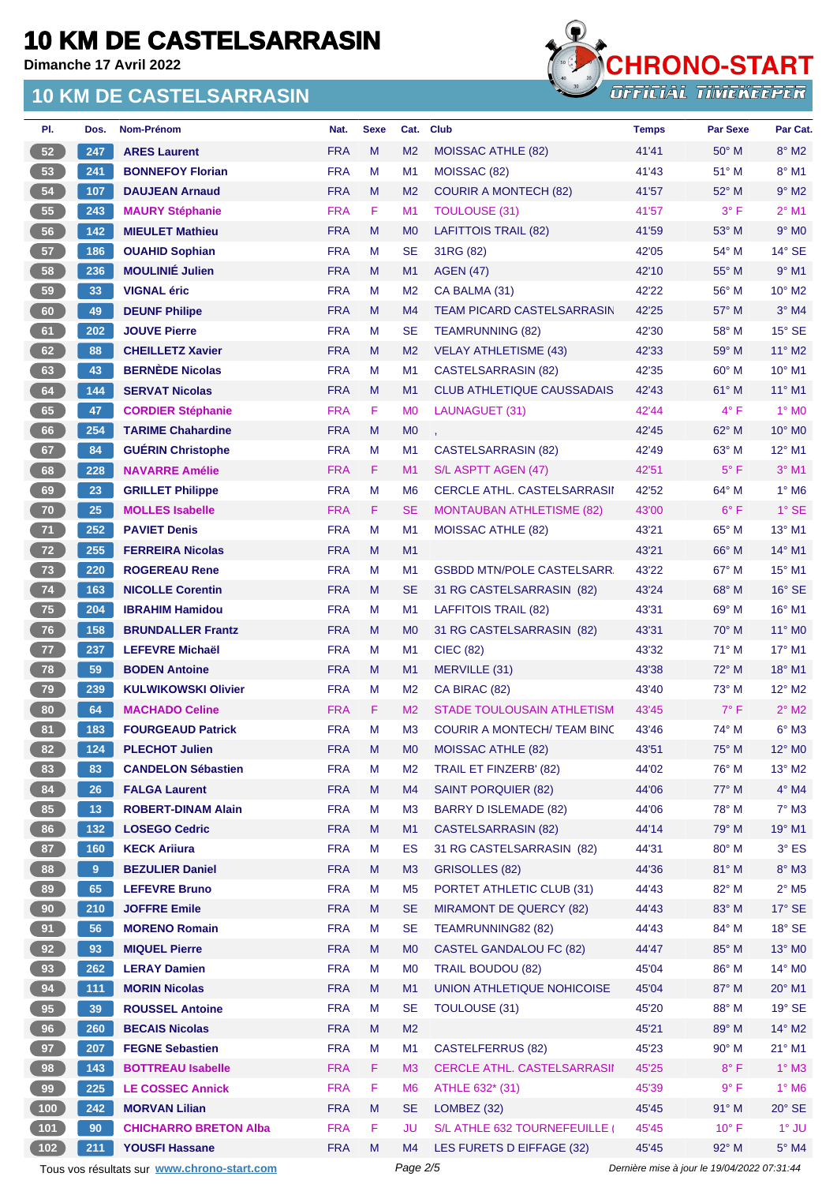**Dimanche 17 Avril 2022**

#### **10 KM DE CASTELSARRASIN**



| PI.             | Dos.           | Nom-Prénom                   | Nat.       | <b>Sexe</b> | Cat.           | <b>Club</b>                        | <b>Temps</b> | <b>Par Sexe</b> | Par Cat.                   |
|-----------------|----------------|------------------------------|------------|-------------|----------------|------------------------------------|--------------|-----------------|----------------------------|
| 52              | 247            | <b>ARES Laurent</b>          | <b>FRA</b> | M           | M <sub>2</sub> | MOISSAC ATHLE (82)                 | 41'41        | $50^\circ$ M    | $8^\circ$ M2               |
| 53              | 241            | <b>BONNEFOY Florian</b>      | <b>FRA</b> | M           | M1             | MOISSAC (82)                       | 41'43        | 51° M           | $8^\circ$ M1               |
| 54              | 107            | <b>DAUJEAN Arnaud</b>        | <b>FRA</b> | M           | M <sub>2</sub> | <b>COURIR A MONTECH (82)</b>       | 41'57        | 52° M           | $9^\circ$ M2               |
| 55              | 243            | <b>MAURY Stéphanie</b>       | <b>FRA</b> | F           | M1             | <b>TOULOUSE (31)</b>               | 41'57        | 3° F            | $2^{\circ}$ M1             |
| 56              | 142            | <b>MIEULET Mathieu</b>       | <b>FRA</b> | M           | M <sub>0</sub> | LAFITTOIS TRAIL (82)               | 41'59        | $53^\circ$ M    | $9°$ MO                    |
| 57              | 186            | <b>OUAHID Sophian</b>        | <b>FRA</b> | м           | <b>SE</b>      | 31RG (82)                          | 42'05        | 54° M           | $14^{\circ}$ SE            |
| 58              | 236            | <b>MOULINIÉ Julien</b>       | <b>FRA</b> | M           | M1             | <b>AGEN (47)</b>                   | 42'10        | $55^{\circ}$ M  | $9°$ M1                    |
| 59              | 33             | <b>VIGNAL éric</b>           | <b>FRA</b> | M           | M <sub>2</sub> | CA BALMA (31)                      | 42'22        | $56^{\circ}$ M  | $10^{\circ}$ M2            |
| 60              | 49             | <b>DEUNF Philipe</b>         | <b>FRA</b> | M           | M4             | <b>TEAM PICARD CASTELSARRASIN</b>  | 42'25        | $57^\circ$ M    | $3°$ M4                    |
| 61              | 202            | <b>JOUVE Pierre</b>          | <b>FRA</b> | M           | <b>SE</b>      | <b>TEAMRUNNING (82)</b>            | 42'30        | $58^{\circ}$ M  | $15^\circ$ SE              |
| 62              | 88             | <b>CHEILLETZ Xavier</b>      | <b>FRA</b> | M           | M <sub>2</sub> | <b>VELAY ATHLETISME (43)</b>       | 42'33        | 59° M           | $11^{\circ}$ M2            |
| 63              | 43             | <b>BERNÈDE Nicolas</b>       | <b>FRA</b> | М           | M <sub>1</sub> | CASTELSARRASIN (82)                | 42'35        | 60° M           | 10° M1                     |
| 64              | 144            | <b>SERVAT Nicolas</b>        | <b>FRA</b> | M           | M1             | <b>CLUB ATHLETIQUE CAUSSADAIS</b>  | 42'43        | $61^\circ$ M    | $11^{\circ}$ M1            |
| 65              | 47             | <b>CORDIER Stéphanie</b>     | <b>FRA</b> | F           | M <sub>0</sub> | LAUNAGUET (31)                     | 42'44        | $4^{\circ}$ F   | $1^\circ$ MO               |
| 66              | 254            | <b>TARIME Chahardine</b>     | <b>FRA</b> | M           | M <sub>0</sub> |                                    | 42'45        | $62^{\circ}$ M  | 10° MO                     |
| 67              | 84             | <b>GUÉRIN Christophe</b>     | <b>FRA</b> | M           | M <sub>1</sub> | <b>CASTELSARRASIN (82)</b>         | 42'49        | 63° M           | 12° M1                     |
| 68              | 228            | <b>NAVARRE Amélie</b>        | <b>FRA</b> | F           | M1             | S/L ASPTT AGEN (47)                | 42'51        | $5^{\circ}$ F   | $3°$ M1                    |
| 69              | 23             | <b>GRILLET Philippe</b>      | <b>FRA</b> | M           | M <sub>6</sub> | <b>CERCLE ATHL, CASTELSARRASII</b> | 42'52        | 64° M           | $1^\circ$ M6               |
| 70              | 25             | <b>MOLLES Isabelle</b>       | <b>FRA</b> | F           | <b>SE</b>      | <b>MONTAUBAN ATHLETISME (82)</b>   | 43'00        | $6^{\circ}$ F   | $1^\circ$ SE               |
| 71              | 252            | <b>PAVIET Denis</b>          | <b>FRA</b> | M           | M1             | <b>MOISSAC ATHLE (82)</b>          | 43'21        | $65^{\circ}$ M  | 13° M1                     |
| 72              | 255            | <b>FERREIRA Nicolas</b>      | <b>FRA</b> | M           | M1             |                                    | 43'21        | $66^{\circ}$ M  | 14° M1                     |
| 73              | 220            | <b>ROGEREAU Rene</b>         | <b>FRA</b> | M           | M <sub>1</sub> | <b>GSBDD MTN/POLE CASTELSARR.</b>  | 43'22        | $67^\circ$ M    | 15° M1                     |
| 74              | 163            | <b>NICOLLE Corentin</b>      | <b>FRA</b> | M           | <b>SE</b>      | 31 RG CASTELSARRASIN (82)          | 43'24        | $68^\circ$ M    | $16^\circ$ SE              |
| 75              | 204            | <b>IBRAHIM Hamidou</b>       | <b>FRA</b> | M           | M <sub>1</sub> | <b>LAFFITOIS TRAIL (82)</b>        | 43'31        | $69^\circ$ M    | 16° M1                     |
| 76              | 158            | <b>BRUNDALLER Frantz</b>     | <b>FRA</b> | M           | M <sub>0</sub> | 31 RG CASTELSARRASIN (82)          | 43'31        | $70^\circ$ M    | $11^\circ$ MO              |
| 77              | 237            | <b>LEFEVRE Michaël</b>       | <b>FRA</b> | M           | M <sub>1</sub> | CIEC (82)                          | 43'32        | 71° M           | 17° M1                     |
| 78              | 59             | <b>BODEN Antoine</b>         | <b>FRA</b> | M           | M1             | MERVILLE (31)                      | 43'38        | 72° M           | 18° M1                     |
| $\bf 79$        | 239            | <b>KULWIKOWSKI Olivier</b>   | <b>FRA</b> | M           | M <sub>2</sub> | CA BIRAC (82)                      | 43'40        | $73^\circ$ M    | $12^{\circ}$ M2            |
| 80              | 64             | <b>MACHADO Celine</b>        | <b>FRA</b> | F           | M <sub>2</sub> | STADE TOULOUSAIN ATHLETISM         | 43'45        | $7^\circ$ F     | $2^{\circ}$ M2             |
| 81              | $\boxed{183}$  | <b>FOURGEAUD Patrick</b>     | <b>FRA</b> | M           | M <sub>3</sub> | <b>COURIR A MONTECH/ TEAM BINC</b> | 43'46        | $74^\circ$ M    | $6^\circ$ M3               |
| 82              | 124            | <b>PLECHOT Julien</b>        | <b>FRA</b> | M           | M <sub>0</sub> | MOISSAC ATHLE (82)                 | 43'51        | 75° M           | 12° M <sub>0</sub>         |
| 83              | 83             | <b>CANDELON Sébastien</b>    | <b>FRA</b> | M           | M <sub>2</sub> | TRAIL ET FINZERB' (82)             | 44'02        | 76° M           | $13^{\circ}$ M2            |
| 84              | 26             | <b>FALGA Laurent</b>         | <b>FRA</b> | M           | M4             | <b>SAINT PORQUIER (82)</b>         | 44'06        | 77° M           | $4^\circ$ M4               |
| 85              | 13             | <b>ROBERT-DINAM Alain</b>    | <b>FRA</b> | М           | M <sub>3</sub> | <b>BARRY D ISLEMADE (82)</b>       | 44'06        | 78° M           | $7^\circ$ M3               |
| 86              | 132            | <b>LOSEGO Cedric</b>         | <b>FRA</b> | M           | M1             | <b>CASTELSARRASIN (82)</b>         | 44'14        | 79° M           | 19° M1                     |
| 87              | 160            | <b>KECK Ariiura</b>          | <b>FRA</b> | M           | ES             | 31 RG CASTELSARRASIN (82)          | 44'31        | 80° M           | $3^\circ$ ES               |
| 88              | 9 <sup>°</sup> | <b>BEZULIER Daniel</b>       | <b>FRA</b> | M           | M3             | GRISOLLES (82)                     | 44'36        | 81° M           | $8^\circ$ M3               |
| 89              | 65             | <b>LEFEVRE Bruno</b>         | <b>FRA</b> | M           | M <sub>5</sub> | PORTET ATHLETIC CLUB (31)          | 44'43        | 82° M           | $2^{\circ}$ M <sub>5</sub> |
| 90 <sub>o</sub> | 210            | <b>JOFFRE Emile</b>          | <b>FRA</b> | M           | <b>SE</b>      | <b>MIRAMONT DE QUERCY (82)</b>     | 44'43        | 83° M           | $17^\circ$ SE              |
| 91              | 56             | <b>MORENO Romain</b>         | <b>FRA</b> | M           | <b>SE</b>      | TEAMRUNNING82 (82)                 | 44'43        | 84° M           | $18^\circ$ SE              |
| 92              | 93             | <b>MIQUEL Pierre</b>         | <b>FRA</b> | M           | M <sub>0</sub> | CASTEL GANDALOU FC (82)            | 44'47        | 85° M           | 13° MO                     |
| 93              | 262            | <b>LERAY Damien</b>          | <b>FRA</b> | М           | M <sub>0</sub> | <b>TRAIL BOUDOU (82)</b>           | 45'04        | 86° M           | 14° M <sub>0</sub>         |
| 94              | $111$          | <b>MORIN Nicolas</b>         | <b>FRA</b> | M           | M1             | UNION ATHLETIQUE NOHICOISE         | 45'04        | 87° M           | $20^\circ$ M1              |
| 95              | 39             | <b>ROUSSEL Antoine</b>       | <b>FRA</b> | M           | <b>SE</b>      | <b>TOULOUSE (31)</b>               | 45'20        | 88° M           | $19^\circ$ SE              |
| 96              | 260            | <b>BECAIS Nicolas</b>        | <b>FRA</b> | M           | M <sub>2</sub> |                                    | 45'21        | 89° M           | 14° M2                     |
| 97              | 207            | <b>FEGNE Sebastien</b>       | <b>FRA</b> | M           | M1             | <b>CASTELFERRUS (82)</b>           | 45'23        | $90^\circ$ M    | $21^{\circ}$ M1            |
| 98              | 143            | <b>BOTTREAU Isabelle</b>     | <b>FRA</b> | F.          | M <sub>3</sub> | <b>CERCLE ATHL. CASTELSARRASII</b> | 45'25        | $8^{\circ}$ F   | $1^\circ$ M3               |
| 99              | 225            | <b>LE COSSEC Annick</b>      | <b>FRA</b> | F           | M <sub>6</sub> | ATHLE 632* (31)                    | 45'39        | $9^{\circ}$ F   | $1^\circ$ M6               |
| 100             | 242            | <b>MORVAN Lilian</b>         | <b>FRA</b> | M           | <b>SE</b>      | LOMBEZ (32)                        | 45'45        | $91^\circ$ M    | $20^\circ$ SE              |
| 101             | 90             | <b>CHICHARRO BRETON Alba</b> | <b>FRA</b> | F           | JU             | S/L ATHLE 632 TOURNEFEUILLE (      | 45'45        | $10^{\circ}$ F  | $1^\circ$ JU               |
| $102$           | 211            | <b>YOUSFI Hassane</b>        | <b>FRA</b> | M           | M4             | LES FURETS D EIFFAGE (32)          | 45'45        | 92° M           | $5^\circ$ M4               |

Tous vos résultats sur **[www.chrono-start.com](https://www.chrono-start.com/)** Page 2/5 Page 2/5 Dernière mise à jour le 19/04/2022 07:31:44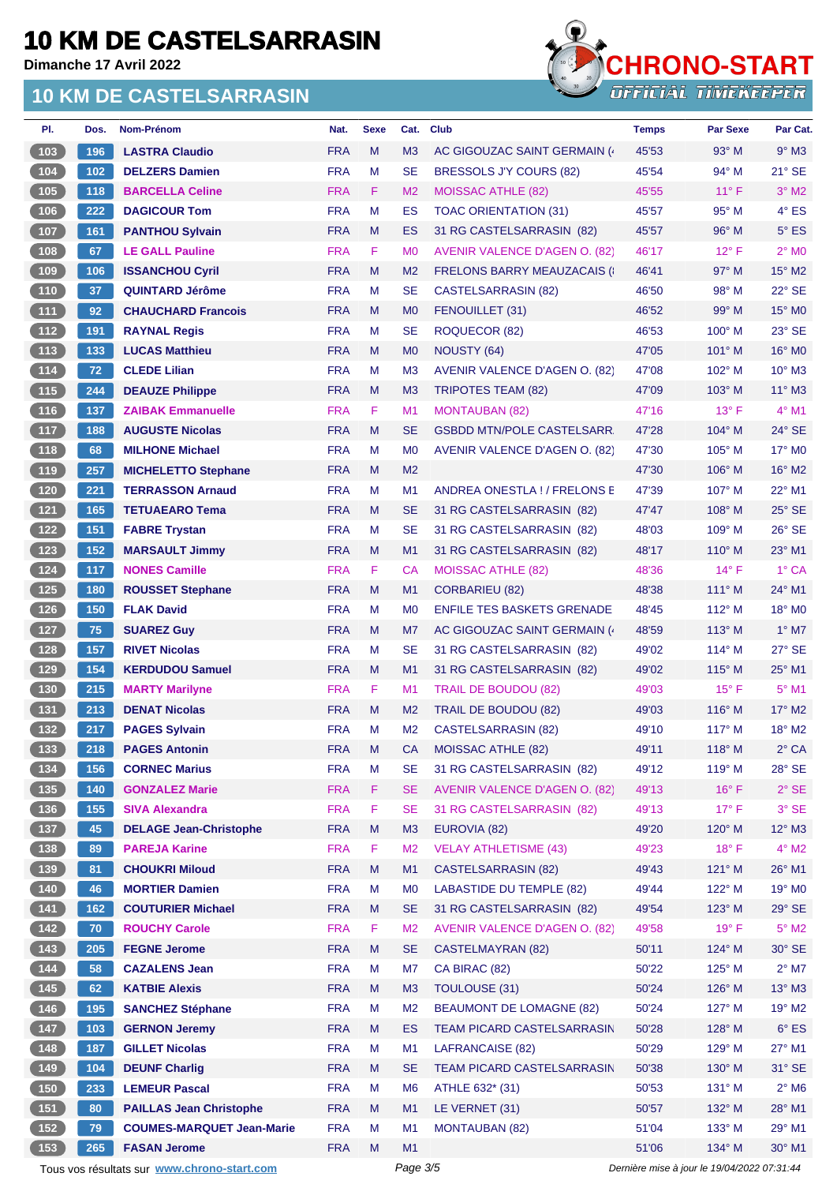**Dimanche 17 Avril 2022**

#### **10 KM DE CASTELSARRASIN**



| PI.           | Dos.  | Nom-Prénom                       | Nat.       | <b>Sexe</b> | Cat.           | <b>Club</b>                          | <b>Temps</b> | <b>Par Sexe</b> | Par Cat.             |
|---------------|-------|----------------------------------|------------|-------------|----------------|--------------------------------------|--------------|-----------------|----------------------|
| (103)         | 196   | <b>LASTRA Claudio</b>            | <b>FRA</b> | M           | M <sub>3</sub> | AC GIGOUZAC SAINT GERMAIN (          | 45'53        | $93^\circ$ M    | $9°$ M3              |
| 104           | $102$ | <b>DELZERS Damien</b>            | <b>FRA</b> | M           | <b>SE</b>      | BRESSOLS J'Y COURS (82)              | 45'54        | $94^{\circ}$ M  | $21^\circ$ SE        |
| 105           | 118   | <b>BARCELLA Celine</b>           | <b>FRA</b> | F           | M <sub>2</sub> | <b>MOISSAC ATHLE (82)</b>            | 45'55        | $11^{\circ}$ F  | $3°$ M2              |
| $106$         | 222   | <b>DAGICOUR Tom</b>              | <b>FRA</b> | M           | ES             | <b>TOAC ORIENTATION (31)</b>         | 45'57        | $95^{\circ}$ M  | $4^{\circ}$ ES       |
| 107           | 161   | <b>PANTHOU Sylvain</b>           | <b>FRA</b> | M           | ES             | 31 RG CASTELSARRASIN (82)            | 45'57        | $96^\circ$ M    | $5^\circ$ ES         |
| 108           | 67    | <b>LE GALL Pauline</b>           | <b>FRA</b> | F           | M <sub>0</sub> | <b>AVENIR VALENCE D'AGEN O. (82)</b> | 46'17        | $12^{\circ}$ F  | $2^{\circ}$ MO       |
| 109           | 106   | <b>ISSANCHOU Cyril</b>           | <b>FRA</b> | M           | M <sub>2</sub> | <b>FRELONS BARRY MEAUZACAIS (</b>    | 46'41        | 97° M           | 15° M2               |
| 110           | 37    | <b>QUINTARD Jérôme</b>           | <b>FRA</b> | M           | <b>SE</b>      | <b>CASTELSARRASIN (82)</b>           | 46'50        | $98^\circ$ M    | 22° SE               |
| (111)         | 92    | <b>CHAUCHARD Francois</b>        | <b>FRA</b> | M           | M <sub>0</sub> | FENOUILLET (31)                      | 46'52        | 99° M           | 15° MO               |
| 112           | 191   | <b>RAYNAL Regis</b>              | <b>FRA</b> | M           | <b>SE</b>      | ROQUECOR (82)                        | 46'53        | $100^\circ$ M   | $23^\circ$ SE        |
| $\boxed{113}$ | 133   | <b>LUCAS Matthieu</b>            | <b>FRA</b> | M           | M <sub>0</sub> | NOUSTY (64)                          | 47'05        | $101^\circ$ M   | $16^\circ$ MO        |
| $\boxed{114}$ | 72    | <b>CLEDE Lilian</b>              | <b>FRA</b> | M           | M <sub>3</sub> | AVENIR VALENCE D'AGEN O. (82)        | 47'08        | $102^\circ$ M   | $10^{\circ}$ M3      |
| $115$         | 244   | <b>DEAUZE Philippe</b>           | <b>FRA</b> | M           | M <sub>3</sub> | <b>TRIPOTES TEAM (82)</b>            | 47'09        | $103^\circ$ M   | $11^\circ$ M3        |
| 116           | 137   | <b>ZAIBAK Emmanuelle</b>         | <b>FRA</b> | F           | M <sub>1</sub> | <b>MONTAUBAN (82)</b>                | 47'16        | $13^{\circ}$ F  | $4^{\circ}$ M1       |
| $\boxed{117}$ | 188   | <b>AUGUSTE Nicolas</b>           | <b>FRA</b> | M           | <b>SE</b>      | <b>GSBDD MTN/POLE CASTELSARR</b>     | 47'28        | $104^\circ$ M   | $24^{\circ}$ SE      |
| $\boxed{118}$ | 68    | <b>MILHONE Michael</b>           | <b>FRA</b> | M           | M <sub>0</sub> | AVENIR VALENCE D'AGEN O. (82)        | 47'30        | $105^\circ$ M   | 17° M0               |
| $119$         | 257   | <b>MICHELETTO Stephane</b>       | <b>FRA</b> | M           | M <sub>2</sub> |                                      | 47'30        | $106^\circ$ M   | 16° M2               |
| 120           | 221   | <b>TERRASSON Arnaud</b>          | <b>FRA</b> | M           | M <sub>1</sub> | ANDREA ONESTLA! / FRELONS E          | 47'39        | $107^\circ$ M   | 22° M1               |
| $121$         | 165   | <b>TETUAEARO Tema</b>            | <b>FRA</b> | M           | <b>SE</b>      | 31 RG CASTELSARRASIN (82)            | 47'47        | $108^\circ$ M   | $25^\circ$ SE        |
| $122$         | 151   | <b>FABRE Trystan</b>             | <b>FRA</b> | M           | <b>SE</b>      | 31 RG CASTELSARRASIN (82)            | 48'03        | $109^\circ$ M   | 26° SE               |
| 123           | 152   | <b>MARSAULT Jimmy</b>            | <b>FRA</b> | M           | M1             | 31 RG CASTELSARRASIN (82)            | 48'17        | $110^\circ$ M   | $23^\circ$ M1        |
| $124$         | 117   | <b>NONES Camille</b>             | <b>FRA</b> | F.          | CA             | <b>MOISSAC ATHLE (82)</b>            | 48'36        | $14^{\circ}$ F  | $1^\circ$ CA         |
| 125           | 180   | <b>ROUSSET Stephane</b>          | <b>FRA</b> | M           | M1             | <b>CORBARIEU (82)</b>                | 48'38        | $111^\circ$ M   | $24^{\circ}$ M1      |
| 126           | 150   | <b>FLAK David</b>                | <b>FRA</b> | M           | M <sub>0</sub> | <b>ENFILE TES BASKETS GRENADE</b>    | 48'45        | $112^\circ$ M   | $18^\circ$ MO        |
| 127           | 75    | <b>SUAREZ Guy</b>                | <b>FRA</b> | M           | M7             | AC GIGOUZAC SAINT GERMAIN (          | 48'59        | $113^\circ$ M   | $1^\circ$ M7         |
| $128$         | 157   | <b>RIVET Nicolas</b>             | <b>FRA</b> | M           | <b>SE</b>      | 31 RG CASTELSARRASIN (82)            | 49'02        | $114^\circ$ M   | $27^\circ$ SE        |
| 129           | 154   | <b>KERDUDOU Samuel</b>           | <b>FRA</b> | M           | M1             | 31 RG CASTELSARRASIN (82)            | 49'02        | 115° M          | $25^{\circ}$ M1      |
| 130           | 215   | <b>MARTY Marilyne</b>            | <b>FRA</b> | F           | M <sub>1</sub> | <b>TRAIL DE BOUDOU (82)</b>          | 49'03        | $15^{\circ}$ F  | $5^{\circ}$ M1       |
| 131           | 213   | <b>DENAT Nicolas</b>             | <b>FRA</b> | M           | M <sub>2</sub> | TRAIL DE BOUDOU (82)                 | 49'03        | $116^\circ$ M   | $17^\circ$ M2        |
| 132           | 217   | <b>PAGES Sylvain</b>             | <b>FRA</b> | M           | M <sub>2</sub> | CASTELSARRASIN (82)                  | 49'10        | $117^\circ$ M   | $18^\circ$ M2        |
| $(133)$       | 218   | <b>PAGES Antonin</b>             | <b>FRA</b> | M           | CA             | MOISSAC ATHLE (82)                   | 49'11        | 118° M          | $2^{\circ}$ CA       |
| 134           | 156   | <b>CORNEC Marius</b>             | <b>FRA</b> | M           | SE             | 31 RG CASTELSARRASIN (82)            | 49'12        | $119^\circ$ M   | 28° SE               |
| $\boxed{135}$ | 140   | <b>GONZALEZ Marie</b>            | <b>FRA</b> | F           | <b>SE</b>      | <b>AVENIR VALENCE D'AGEN O. (82)</b> | 49'13        | $16^{\circ}$ F  | $2°$ SE              |
| $136$         | 155   | <b>SIVA Alexandra</b>            | <b>FRA</b> | F.          | <b>SE</b>      | 31 RG CASTELSARRASIN (82)            | 49'13        | $17^{\circ}$ F  | $3°$ SE              |
| (137)         | 45    | <b>DELAGE Jean-Christophe</b>    | <b>FRA</b> | M           | M <sub>3</sub> | EUROVIA (82)                         | 49'20        | 120° M          | $12^{\circ}$ M3      |
| 138           | 89    | <b>PAREJA Karine</b>             | <b>FRA</b> | F           | M <sub>2</sub> | <b>VELAY ATHLETISME (43)</b>         | 49'23        | $18^{\circ}$ F  | $4^\circ$ M2         |
| (139)         | 81    | <b>CHOUKRI Miloud</b>            | <b>FRA</b> | M           | M1             | CASTELSARRASIN (82)                  | 49'43        | $121^\circ$ M   | 26° M1               |
| 140           | 46    | <b>MORTIER Damien</b>            | <b>FRA</b> | M           | M <sub>0</sub> | <b>LABASTIDE DU TEMPLE (82)</b>      | 49'44        | 122° M          | 19° M <sub>0</sub>   |
| $141$         | 162   | <b>COUTURIER Michael</b>         | <b>FRA</b> | M           | <b>SE</b>      | 31 RG CASTELSARRASIN (82)            | 49'54        | 123° M          | $29°$ SE             |
| $142$         | 70    | <b>ROUCHY Carole</b>             | <b>FRA</b> | F           | M <sub>2</sub> | <b>AVENIR VALENCE D'AGEN O. (82)</b> | 49'58        | $19^{\circ}$ F  | $5^\circ$ M2         |
| (143)         | 205   | <b>FEGNE Jerome</b>              | <b>FRA</b> | M           | <b>SE</b>      | CASTELMAYRAN (82)                    | 50'11        | $124^\circ$ M   | $30^\circ$ SE        |
| $\boxed{144}$ | 58    | <b>CAZALENS Jean</b>             | <b>FRA</b> | M           | M7             | CA BIRAC (82)                        | 50'22        | $125^\circ$ M   | $2^{\circ}$ M7       |
| 145           | 62    | <b>KATBIE Alexis</b>             | <b>FRA</b> | M           | M <sub>3</sub> | TOULOUSE (31)                        | 50'24        | $126^\circ$ M   | $13^\circ$ M3        |
| $146$         | 195   | <b>SANCHEZ Stéphane</b>          | <b>FRA</b> | M           | M <sub>2</sub> | <b>BEAUMONT DE LOMAGNE (82)</b>      | 50'24        | $127^\circ$ M   | $19°$ M <sub>2</sub> |
| $147$         | $103$ | <b>GERNON Jeremy</b>             | <b>FRA</b> | M           | <b>ES</b>      | TEAM PICARD CASTELSARRASIN           | 50'28        | 128° M          | $6^{\circ}$ ES       |
| 148           | 187   | <b>GILLET Nicolas</b>            | <b>FRA</b> | M           | M1             | LAFRANCAISE (82)                     | 50'29        | 129° M          | $27^\circ$ M1        |
| $149$         | 104   | <b>DEUNF Charlig</b>             | <b>FRA</b> | M           | <b>SE</b>      | TEAM PICARD CASTELSARRASIN           | 50'38        | 130° M          | $31^\circ$ SE        |
| $150$         | 233   | <b>LEMEUR Pascal</b>             | <b>FRA</b> | M           | M <sub>6</sub> | ATHLE 632* (31)                      | 50'53        | $131^\circ$ M   | $2^{\circ}$ M6       |
| 151           | 80    | <b>PAILLAS Jean Christophe</b>   | <b>FRA</b> | M           | M1             | LE VERNET (31)                       | 50'57        | 132° M          | 28° M1               |
| 152           | 79    | <b>COUMES-MARQUET Jean-Marie</b> | <b>FRA</b> | M           | M <sub>1</sub> | <b>MONTAUBAN (82)</b>                | 51'04        | $133^\circ$ M   | 29° M1               |
| $153$         | 265   | <b>FASAN Jerome</b>              | <b>FRA</b> | M           | M1             |                                      | 51'06        | $134^\circ$ M   | 30° M1               |

Tous vos résultats sur **[www.chrono-start.com](https://www.chrono-start.com/)** Page 3/5 Page 3/5 Dernière mise à jour le 19/04/2022 07:31:44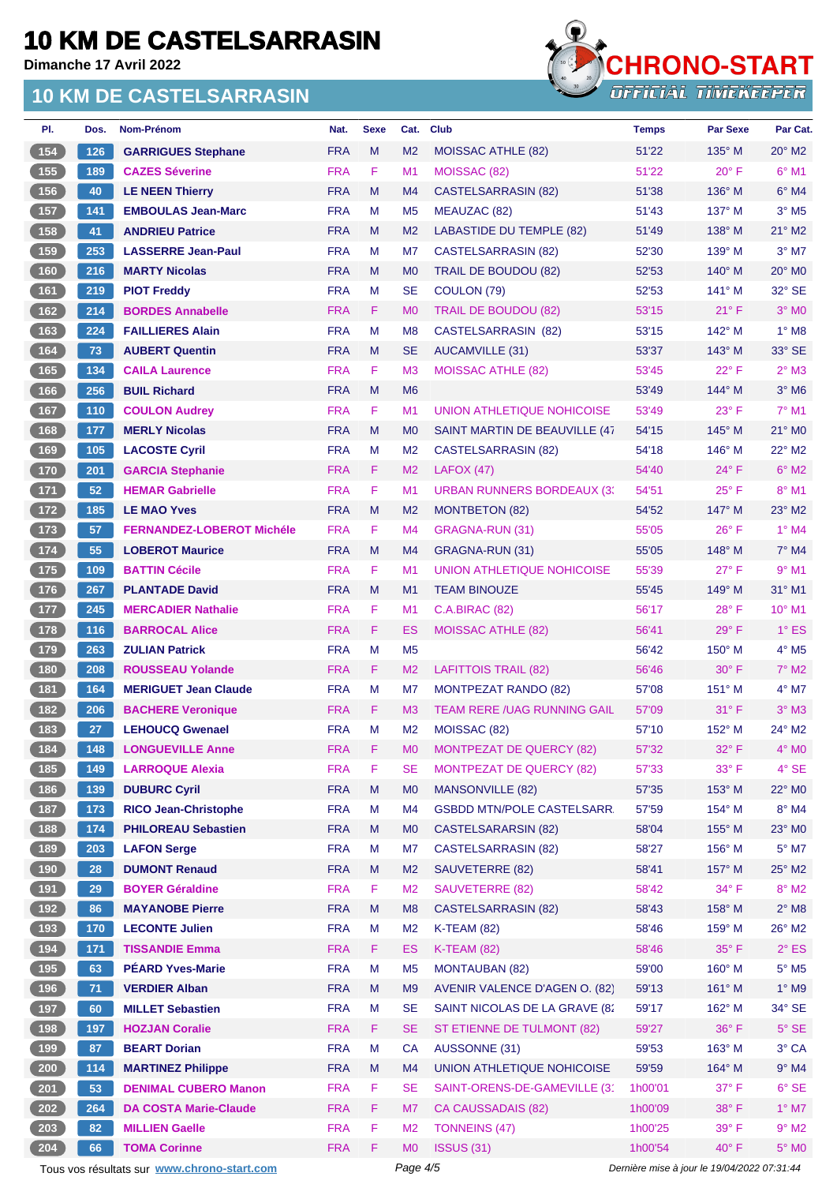**Dimanche 17 Avril 2022**

#### **10 KM DE CASTELSARRASIN**



| PI.           | Dos. | Nom-Prénom                       | Nat.       | <b>Sexe</b> | Cat.           | <b>Club</b>                        | <b>Temps</b> | <b>Par Sexe</b> | Par Cat.                   |
|---------------|------|----------------------------------|------------|-------------|----------------|------------------------------------|--------------|-----------------|----------------------------|
| 154           | 126  | <b>GARRIGUES Stephane</b>        | <b>FRA</b> | M           | M <sub>2</sub> | MOISSAC ATHLE (82)                 | 51'22        | $135^\circ$ M   | $20^\circ$ M2              |
| $455$         | 189  | <b>CAZES Séverine</b>            | <b>FRA</b> | F           | M1             | MOISSAC (82)                       | 51'22        | $20^\circ$ F    | $6^{\circ}$ M1             |
| $156$         | 40   | <b>LE NEEN Thierry</b>           | <b>FRA</b> | M           | M4             | <b>CASTELSARRASIN (82)</b>         | 51'38        | 136° M          | $6^\circ$ M4               |
| 157           | 141  | <b>EMBOULAS Jean-Marc</b>        | <b>FRA</b> | M           | M <sub>5</sub> | MEAUZAC (82)                       | 51'43        | 137° M          | $3°$ M <sub>5</sub>        |
| 158           | 41   | <b>ANDRIEU Patrice</b>           | <b>FRA</b> | M           | M <sub>2</sub> | <b>LABASTIDE DU TEMPLE (82)</b>    | 51'49        | $138^\circ$ M   | 21° M2                     |
| 159           | 253  | <b>LASSERRE Jean-Paul</b>        | <b>FRA</b> | M           | M7             | CASTELSARRASIN (82)                | 52'30        | 139° M          | $3°$ M7                    |
| 160           | 216  | <b>MARTY Nicolas</b>             | <b>FRA</b> | M           | M <sub>0</sub> | <b>TRAIL DE BOUDOU (82)</b>        | 52'53        | $140^\circ$ M   | $20^\circ$ MO              |
| 161           | 219  | <b>PIOT Freddy</b>               | <b>FRA</b> | M           | <b>SE</b>      | COULON (79)                        | 52'53        | $141^\circ$ M   | 32° SE                     |
| $162$         | 214  | <b>BORDES Annabelle</b>          | <b>FRA</b> | F           | M <sub>0</sub> | <b>TRAIL DE BOUDOU (82)</b>        | 53'15        | $21^{\circ}$ F  | $3°$ MO                    |
| $163$         | 224  | <b>FAILLIERES Alain</b>          | <b>FRA</b> | M           | M <sub>8</sub> | CASTELSARRASIN (82)                | 53'15        | $142^\circ$ M   | $1^\circ$ M8               |
| 164           | 73   | <b>AUBERT Quentin</b>            | <b>FRA</b> | M           | <b>SE</b>      | AUCAMVILLE (31)                    | 53'37        | $143^\circ$ M   | $33^\circ$ SE              |
| 165           | 134  | <b>CAILA Laurence</b>            | <b>FRA</b> | F           | M <sub>3</sub> | <b>MOISSAC ATHLE (82)</b>          | 53'45        | $22^{\circ}$ F  | $2^{\circ}$ M3             |
| (166)         | 256  | <b>BUIL Richard</b>              | <b>FRA</b> | M           | M <sub>6</sub> |                                    | 53'49        | $144^\circ$ M   | $3°$ M <sub>6</sub>        |
| 167           | 110  | <b>COULON Audrey</b>             | <b>FRA</b> | F           | M <sub>1</sub> | <b>UNION ATHLETIQUE NOHICOISE</b>  | 53'49        | $23^{\circ}$ F  | 7° M1                      |
| 168           | 177  | <b>MERLY Nicolas</b>             | <b>FRA</b> | M           | M <sub>0</sub> | SAINT MARTIN DE BEAUVILLE (47      | 54'15        | $145^\circ$ M   | 21° MO                     |
| 169           | 105  | <b>LACOSTE Cyril</b>             | <b>FRA</b> | M           | M <sub>2</sub> | <b>CASTELSARRASIN (82)</b>         | 54'18        | $146^\circ$ M   | 22° M2                     |
| $170$         | 201  | <b>GARCIA Stephanie</b>          | <b>FRA</b> | F           | M <sub>2</sub> | LAFOX(47)                          | 54'40        | $24^{\circ}$ F  | $6°$ M2                    |
| $171$         | 52   | <b>HEMAR Gabrielle</b>           | <b>FRA</b> | F           | M <sub>1</sub> | <b>URBAN RUNNERS BORDEAUX (3)</b>  | 54'51        | $25^{\circ}$ F  | 8° M1                      |
| $172$         | 185  | <b>LE MAO Yves</b>               | <b>FRA</b> | M           | M <sub>2</sub> | MONTBETON (82)                     | 54'52        | 147° M          | $23^\circ$ M <sub>2</sub>  |
| $173$         | 57   | <b>FERNANDEZ-LOBEROT Michéle</b> | <b>FRA</b> | F           | M4             | GRAGNA-RUN (31)                    | 55'05        | $26^{\circ}$ F  | $1^\circ$ M4               |
| $174$         | 55   | <b>LOBEROT Maurice</b>           | <b>FRA</b> | M           | M4             | GRAGNA-RUN (31)                    | 55'05        | $148^\circ$ M   | $7°$ M4                    |
| $\boxed{175}$ | 109  | <b>BATTIN Cécile</b>             | <b>FRA</b> | F           | M <sub>1</sub> | UNION ATHLETIQUE NOHICOISE         | 55'39        | 27° F           | $9°$ M1                    |
| 176           | 267  | <b>PLANTADE David</b>            | <b>FRA</b> | M           | M1             | <b>TEAM BINOUZE</b>                | 55'45        | $149^\circ$ M   | 31° M1                     |
| $177$         | 245  | <b>MERCADIER Nathalie</b>        | <b>FRA</b> | F           | M1             | <b>C.A.BIRAC (82)</b>              | 56'17        | $28^{\circ}$ F  | $10^{\circ}$ M1            |
| 178           | 116  | <b>BARROCAL Alice</b>            | <b>FRA</b> | F           | ES             | <b>MOISSAC ATHLE (82)</b>          | 56'41        | $29^\circ$ F    | $1^\circ$ ES               |
| 179           | 263  | <b>ZULIAN Patrick</b>            | <b>FRA</b> | M           | M <sub>5</sub> |                                    | 56'42        | 150° M          | 4° M5                      |
| 180           | 208  | <b>ROUSSEAU Yolande</b>          | <b>FRA</b> | F           | M <sub>2</sub> | <b>LAFITTOIS TRAIL (82)</b>        | 56'46        | $30^\circ$ F    | $7^\circ$ M2               |
| $\boxed{181}$ | 164  | <b>MERIGUET Jean Claude</b>      | <b>FRA</b> | M           | M7             | <b>MONTPEZAT RANDO (82)</b>        | 57'08        | $151^\circ$ M   | 4° M7                      |
| 182           | 206  | <b>BACHERE Veronique</b>         | <b>FRA</b> | F           | M <sub>3</sub> | <b>TEAM RERE /UAG RUNNING GAIL</b> | 57'09        | 31° F           | $3°$ M $3$                 |
| 183           | 27   | <b>LEHOUCQ Gwenael</b>           | <b>FRA</b> | M           | M <sub>2</sub> | MOISSAC (82)                       | 57'10        | 152° M          | 24° M2                     |
| 184           | 148  | <b>LONGUEVILLE Anne</b>          | <b>FRA</b> | F           | M0             | <b>MONTPEZAT DE QUERCY (82)</b>    | 57'32        | 32° F           | 4° MO                      |
| 185           | 149  | <b>LARROQUE Alexia</b>           | <b>FRA</b> | F           | <b>SE</b>      | <b>MONTPEZAT DE QUERCY (82)</b>    | 57'33        | 33° F           | 4° SE                      |
| 186           | 139  | <b>DUBURC Cyril</b>              | <b>FRA</b> | M           | M <sub>0</sub> | <b>MANSONVILLE (82)</b>            | 57'35        | 153° M          | 22° MO                     |
| $187$         | 173  | <b>RICO Jean-Christophe</b>      | <b>FRA</b> | M           | M4             | <b>GSBDD MTN/POLE CASTELSARR.</b>  | 57'59        | $154^\circ$ M   | $8^\circ$ M4               |
| (188)         | 174  | <b>PHILOREAU Sebastien</b>       | <b>FRA</b> | M           | M <sub>0</sub> | CASTELSARARSIN (82)                | 58'04        | 155° M          | 23° MO                     |
| 189           | 203  | <b>LAFON Serge</b>               | <b>FRA</b> | M           | M7             | <b>CASTELSARRASIN (82)</b>         | 58'27        | 156° M          | $5^\circ$ M7               |
| 190           | 28   | <b>DUMONT Renaud</b>             | <b>FRA</b> | M           | M <sub>2</sub> | SAUVETERRE (82)                    | 58'41        | 157° M          | 25° M2                     |
| (191)         | 29   | <b>BOYER Géraldine</b>           | <b>FRA</b> | F           | M <sub>2</sub> | SAUVETERRE (82)                    | 58'42        | 34° F           | $8^\circ$ M2               |
| (192)         | 86   | <b>MAYANOBE Pierre</b>           | <b>FRA</b> | M           | M <sub>8</sub> | <b>CASTELSARRASIN (82)</b>         | 58'43        | 158° M          | $2^{\circ}$ M <sub>8</sub> |
| 193           | 170  | <b>LECONTE Julien</b>            | <b>FRA</b> | M           | M <sub>2</sub> | <b>K-TEAM (82)</b>                 | 58'46        | 159° M          | 26° M2                     |
| (194)         | 171  | <b>TISSANDIE Emma</b>            | <b>FRA</b> | F           | <b>ES</b>      | <b>K-TEAM (82)</b>                 | 58'46        | $35^{\circ}$ F  | $2^{\circ}$ ES             |
| $195$         | 63   | <b>PÉARD Yves-Marie</b>          | <b>FRA</b> | M           | M <sub>5</sub> | <b>MONTAUBAN (82)</b>              | 59'00        | 160° M          | $5^\circ$ M5               |
| (196)         | 71   | <b>VERDIER Alban</b>             | <b>FRA</b> | M           | M <sub>9</sub> | AVENIR VALENCE D'AGEN O. (82)      | 59'13        | 161° M          | 1° M9                      |
| 197           | 60   | <b>MILLET Sebastien</b>          | <b>FRA</b> | M           | <b>SE</b>      | SAINT NICOLAS DE LA GRAVE (82      | 59'17        | 162° M          | 34° SE                     |
| (198)         | 197  | <b>HOZJAN Coralie</b>            | <b>FRA</b> | F           | <b>SE</b>      | ST ETIENNE DE TULMONT (82)         | 59'27        | 36°F            | $5^\circ$ SE               |
| (199)         | 87   | <b>BEART Dorian</b>              | <b>FRA</b> | M           | CA             | AUSSONNE (31)                      | 59'53        | 163° M          | 3° CA                      |
| 200           | 114  | <b>MARTINEZ Philippe</b>         | <b>FRA</b> | M           | M4             | UNION ATHLETIQUE NOHICOISE         | 59'59        | 164° M          | $9°$ M4                    |
| 201           | 53   | <b>DENIMAL CUBERO Manon</b>      | <b>FRA</b> | F           | <b>SE</b>      | SAINT-ORENS-DE-GAMEVILLE (31       | 1h00'01      | 37° F           | $6°$ SE                    |
| 202           | 264  | <b>DA COSTA Marie-Claude</b>     | <b>FRA</b> | F           | M7             | <b>CA CAUSSADAIS (82)</b>          | 1h00'09      | 38° F           | $1^\circ$ M7               |
| 203           | 82   | <b>MILLIEN Gaelle</b>            | <b>FRA</b> | F           | M <sub>2</sub> | <b>TONNEINS (47)</b>               | 1h00'25      | 39° F           | $9°$ M2                    |
| 204           | 66   | <b>TOMA Corinne</b>              | <b>FRA</b> | F           | M <sub>0</sub> | <b>ISSUS (31)</b>                  | 1h00'54      | $40^{\circ}$ F  | $5^\circ$ MO               |
|               |      |                                  |            |             |                |                                    |              |                 |                            |

Tous vos résultats sur **[www.chrono-start.com](https://www.chrono-start.com/)** Page 4/5 Page 4/5 Dernière mise à jour le 19/04/2022 07:31:44